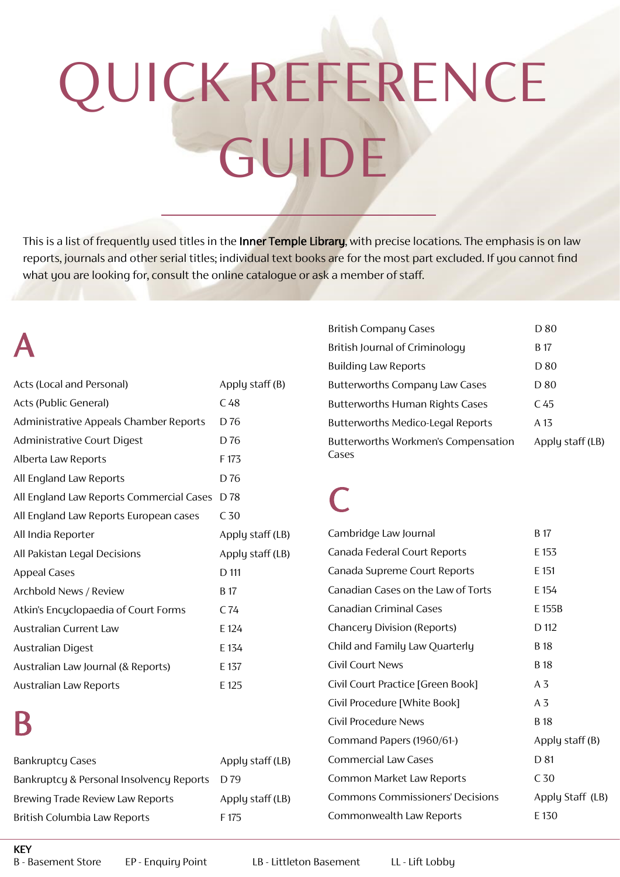# QUICK REFERENCE GUIDE

This is a list of frequently used titles in the Inner Temple Library, with precise locations. The emphasis is on law reports, journals and other serial titles; individual text books are for the most part excluded. If you cannot find what you are looking for, consult the online catalogue or ask a member of staff.

## A

| Acts (Local and Personal)                | Apply staff $(B)$ |
|------------------------------------------|-------------------|
| Acts (Public General)                    | C <sub>48</sub>   |
| Administrative Appeals Chamber Reports   | D <sub>76</sub>   |
| Administrative Court Digest              | D 76              |
| Alberta Law Reports                      | F 173             |
| All England Law Reports                  | D <sub>76</sub>   |
| All England Law Reports Commercial Cases | D 78              |
| All England Law Reports European cases   | C <sub>50</sub>   |
| All India Reporter                       | Apply staff (LB)  |
| All Pakistan Legal Decisions             | Apply staff (LB)  |
| <b>Appeal Cases</b>                      | D 111             |
| Archbold News / Review                   | B 17              |
| Atkin's Encyclopaedia of Court Forms     | C 74              |
| Australian Current Law                   | E 124             |
| <b>Australian Digest</b>                 | E 134             |
| Australian Law Journal (& Reports)       | E 137             |
| Australian Law Reports                   | E 125             |

# B

|                                          |                  | Command Papers (1960/61-)               | Appl            |
|------------------------------------------|------------------|-----------------------------------------|-----------------|
| <b>Bankruptcy Cases</b>                  | Apply staff (LB) | <b>Commercial Law Cases</b>             | D 81            |
| Bankruptcy & Personal Insolvency Reports | D 79             | Common Market Law Reports               | C <sub>50</sub> |
| <b>Brewing Trade Review Law Reports</b>  | Apply staff (LB) | <b>Commons Commissioners' Decisions</b> | Appl            |
| British Columbia Law Reports             | F 175            | Commonwealth Law Reports                | $E$ 130         |
|                                          |                  |                                         |                 |

| <b>British Company Cases</b>                 | D 80             |
|----------------------------------------------|------------------|
| British Journal of Criminology               | B 17             |
| <b>Building Law Reports</b>                  | D 80             |
| <b>Butterworths Company Law Cases</b>        | D 80             |
| <b>Butterworths Human Rights Cases</b>       | C 45             |
| <b>Butterworths Medico-Legal Reports</b>     | A 13             |
| Butterworths Workmen's Compensation<br>Cases | Apply staff (LB) |

#### C

| Cambridge Law Journal                   | B 17              |
|-----------------------------------------|-------------------|
| Canada Federal Court Reports            | E 153             |
| Canada Supreme Court Reports            | E 151             |
| Canadian Cases on the Law of Torts      | E 154             |
| <b>Canadian Criminal Cases</b>          | E 155B            |
| <b>Chancery Division (Reports)</b>      | D 112             |
| Child and Family Law Quarterly          | B 18              |
| Civil Court News                        | B 18              |
| Civil Court Practice [Green Book]       | A3                |
| Civil Procedure [White Book]            | A3                |
| Civil Procedure News                    | <b>B</b> 18       |
| Command Papers (1960/61-)               | Apply staff $(B)$ |
| <b>Commercial Law Cases</b>             | D 81              |
| Common Market Law Reports               | C <sub>50</sub>   |
| <b>Commons Commissioners' Decisions</b> | Apply Staff (LB)  |
| Commonwealth Law Reports                | E 130             |
|                                         |                   |

KEY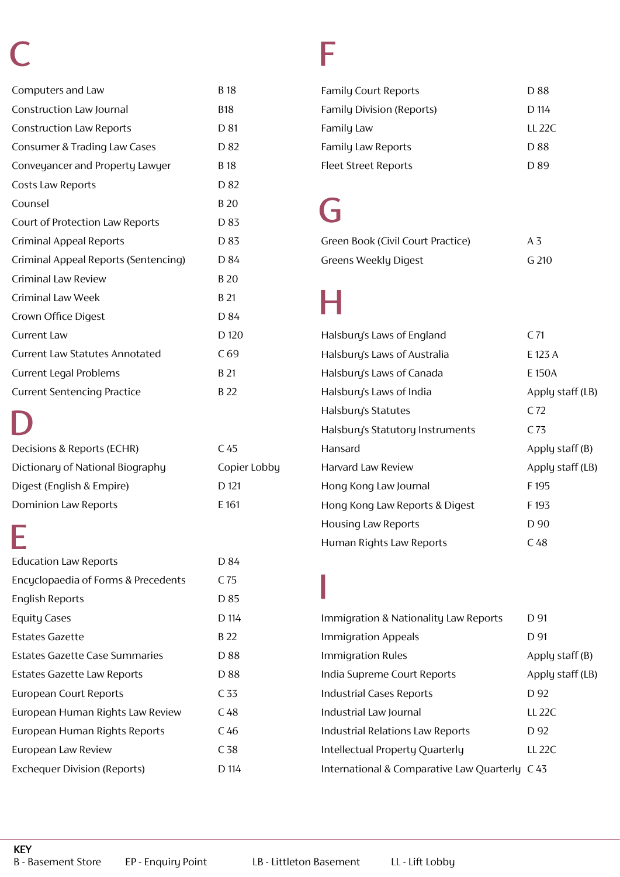# C

| Computers and Law                     | <b>B</b> 18     |
|---------------------------------------|-----------------|
| Construction Law Journal              | B18             |
| <b>Construction Law Reports</b>       | D 81            |
| Consumer & Trading Law Cases          | D 82            |
| Conveyancer and Property Lawyer       | B 18            |
| Costs Law Reports                     | D 82            |
| Counsel                               | B 20            |
| Court of Protection Law Reports       | D 83            |
| <b>Criminal Appeal Reports</b>        | D 83            |
| Criminal Appeal Reports (Sentencing)  | D 84            |
| <b>Criminal Law Review</b>            | <b>B20</b>      |
| Criminal Law Week                     | B 21            |
| Crown Office Digest                   | D 84            |
| Current Law                           | D 120           |
| <b>Current Law Statutes Annotated</b> | C <sub>69</sub> |
| <b>Current Legal Problems</b>         | B 21            |
| <b>Current Sentencing Practice</b>    | B <sub>22</sub> |

#### D

| Decisions & Reports (ECHR)       | C 45         |
|----------------------------------|--------------|
| Dictionary of National Biography | Copier Lobby |
| Digest (English & Empire)        | $D$ 121      |
| Dominion Law Reports             | F 161        |

#### E

| <b>Education Law Reports</b>        | D 84            |
|-------------------------------------|-----------------|
| Encyclopaedia of Forms & Precedents | C 75            |
| <b>English Reports</b>              | D 85            |
| <b>Equity Cases</b>                 | D 114           |
| Estates Gazette                     | B 22            |
| Estates Gazette Case Summaries      | D 88            |
| Estates Gazette Law Reports         | D 88            |
| European Court Reports              | C <sub>33</sub> |
| European Human Rights Law Review    | C 48            |
| European Human Rights Reports       | C 46            |
| European Law Review                 | C <sub>38</sub> |
| <b>Exchequer Division (Reports)</b> | D 114           |

#### F

| <b>Family Court Reports</b>      | D 88      |
|----------------------------------|-----------|
| <b>Family Division (Reports)</b> | D 114     |
| Family Law                       | LL 22 $C$ |
| <b>Family Law Reports</b>        | D 88      |
| Fleet Street Reports             | D 89      |

#### G

| Green Book (Civil Court Practice) | A 3   |
|-----------------------------------|-------|
| Greens Weekly Digest              | G 210 |

#### H

| Halsbury's Laws of England       | C <sub>71</sub>   |
|----------------------------------|-------------------|
| Halsbury's Laws of Australia     | E 123 A           |
| Halsbury's Laws of Canada        | E 150A            |
| Halsbury's Laws of India         | Apply staff (LB)  |
| Halsbury's Statutes              | C <sub>72</sub>   |
| Halsbury's Statutory Instruments | C <sub>73</sub>   |
|                                  |                   |
| Hansard                          | Apply staff $(B)$ |
| Harvard Law Review               | Apply staff (LB)  |
| Hong Kong Law Journal            | F195              |
| Hong Kong Law Reports & Digest   | F <sub>193</sub>  |
| <b>Housing Law Reports</b>       | D 90              |

#### I

| Immigration & Nationality Law Reports         | D 91             |
|-----------------------------------------------|------------------|
| Immigration Appeals                           | D 91             |
| <b>Immigration Rules</b>                      | Apply staff (B)  |
| India Supreme Court Reports                   | Apply staff (LB) |
| <b>Industrial Cases Reports</b>               | D 92             |
| Industrial Law Journal                        | 11.22C           |
| Industrial Relations Law Reports              | D 92             |
| Intellectual Property Quarterly               | 11.22C           |
| International & Comparative Law Quarterly C43 |                  |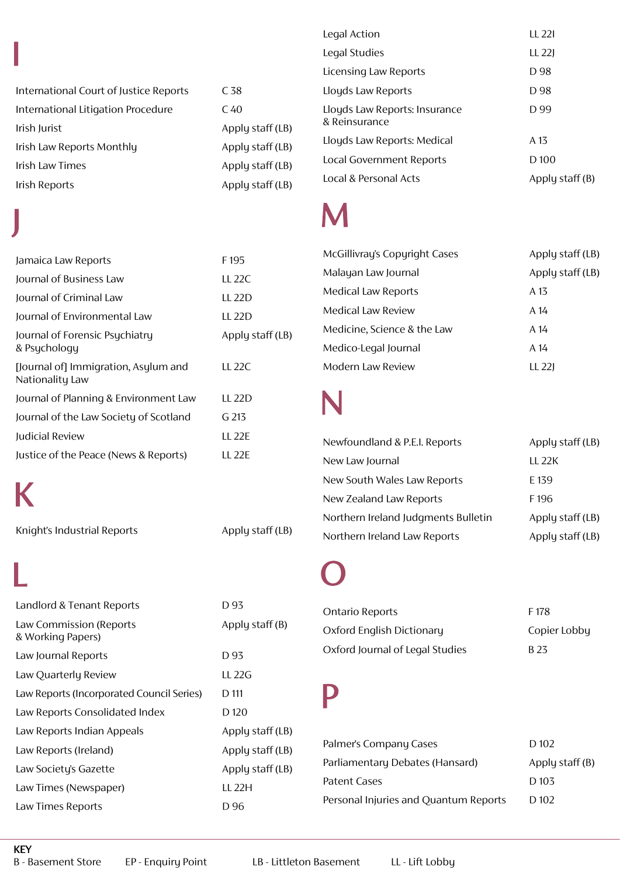|                                        |                  | Legal Studies                 | $LL$ 22J          |
|----------------------------------------|------------------|-------------------------------|-------------------|
|                                        |                  | Licensing Law Reports         | D 98              |
| International Court of Justice Reports | C <sub>38</sub>  | Lloyds Law Reports            | D 98              |
| International Litigation Procedure     | C <sub>40</sub>  | Lloyds Law Reports: Insurance | D 99              |
| Irish Jurist                           | Apply staff (LB) | & Reinsurance                 |                   |
| Irish Law Reports Monthly              | Apply staff (LB) | Lloyds Law Reports: Medical   | A 13              |
| Irish Law Times                        | Apply staff (LB) | Local Government Reports      | D <sub>100</sub>  |
| Irish Reports                          | Apply staff (LB) | Local & Personal Acts         | Apply staff $(B)$ |
|                                        |                  |                               |                   |

#### M

| McGillivray's Copyright Cases | Apply staff (LB) |
|-------------------------------|------------------|
| Malayan Law Journal           | Apply staff (LB) |
| Medical Law Reports           | A 13             |
| Medical Law Review            | A 14             |
| Medicine, Science & the Law   | A 14             |
| Medico-Legal Journal          | A 14             |
| Modern Law Review             | LL 221           |

Legal Action LL 22I

#### N

| Newfoundland & P.E.I. Reports       | Apply staff (LB) |
|-------------------------------------|------------------|
| New Law Journal                     | 11.22K           |
| New South Wales Law Reports         | E 139            |
| New Zealand Law Reports             | F196             |
| Northern Ireland Judgments Bulletin | Apply staff (LB) |
| Northern Ireland Law Reports        | Apply staff (LB) |

#### O

| Ontario Reports                 | F 178        |
|---------------------------------|--------------|
| Oxford English Dictionary       | Copier Lobbu |
| Oxford Journal of Legal Studies | R 23         |

#### P

| Palmer's Company Cases                | D 102             |
|---------------------------------------|-------------------|
| Parliamentary Debates (Hansard)       | Apply staff $(B)$ |
| Patent Cases                          | D 103             |
| Personal Injuries and Quantum Reports | D 102             |

| Jamaica Law Reports                                     | F <sub>195</sub> |
|---------------------------------------------------------|------------------|
| Journal of Business Law                                 | LL 22C           |
| Journal of Criminal Law                                 | LL 22D           |
| Journal of Environmental Law                            | LL 22D           |
| Journal of Forensic Psychiatry<br>& Psychology          | Apply staff (LB) |
| [Journal of] Immigration, Asylum and<br>Nationality Law | <b>LL 22C</b>    |
| Journal of Planning & Environment Law                   | LL 22D           |
| Journal of the Law Society of Scotland                  | G 213            |
| Judicial Review                                         | <b>LL 22E</b>    |
| Justice of the Peace (News & Reports)                   | LL 22F           |

K

Knight's Industrial Reports Apply staff (LB)

Landlord & Tenant Reports D 93 Law Commission (Reports Apply staff (B) & Working Papers) Law Journal Reports D 93 Law Quarterly Review LL 22G Law Reports (Incorporated Council Series) D 111 Law Reports Consolidated Index D 120 Law Reports Indian Appeals Apply staff (LB) Law Reports (Ireland) Apply staff (LB) Law Society's Gazette Apply staff (LB) Law Times (Newspaper) LL 22H Law Times Reports D 96 L

#### KEY

B - Basement Store EP - Enquiry Point LB - Littleton Basement LL - Lift Lobby